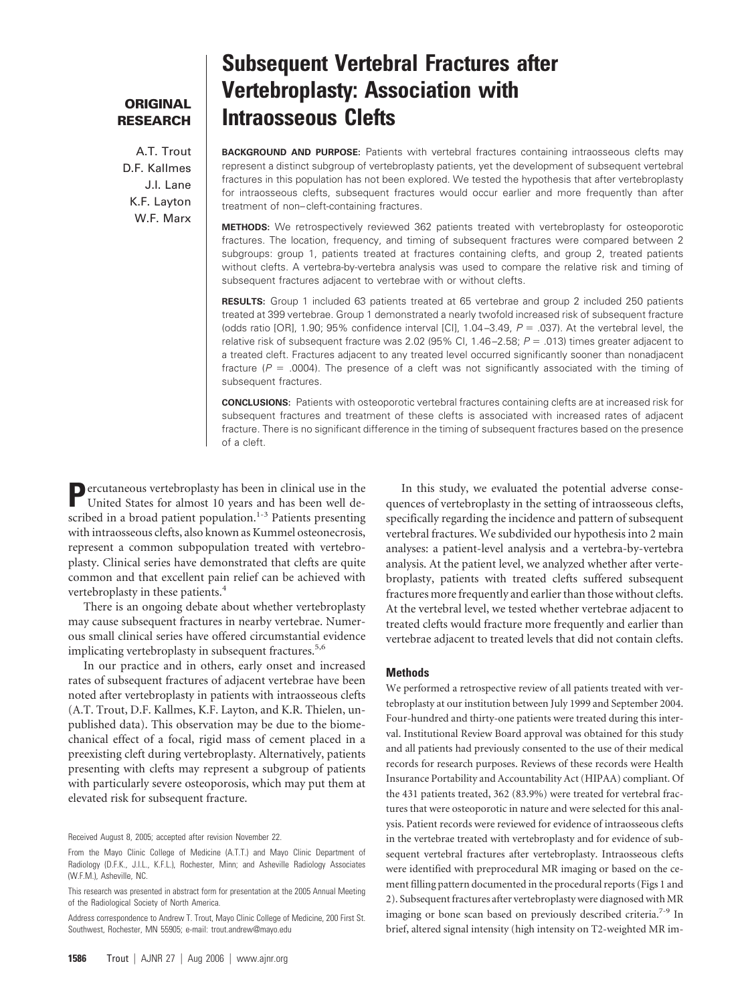# **ORIGINAL RESEARCH**

A.T. Trout D.F. Kallmes J.I. Lane K.F. Layton W.F. Marx

# **Subsequent Vertebral Fractures after Vertebroplasty: Association with Intraosseous Clefts**

**BACKGROUND AND PURPOSE:** Patients with vertebral fractures containing intraosseous clefts may represent a distinct subgroup of vertebroplasty patients, yet the development of subsequent vertebral fractures in this population has not been explored. We tested the hypothesis that after vertebroplasty for intraosseous clefts, subsequent fractures would occur earlier and more frequently than after treatment of non– cleft-containing fractures.

**METHODS:** We retrospectively reviewed 362 patients treated with vertebroplasty for osteoporotic fractures. The location, frequency, and timing of subsequent fractures were compared between 2 subgroups: group 1, patients treated at fractures containing clefts, and group 2, treated patients without clefts. A vertebra-by-vertebra analysis was used to compare the relative risk and timing of subsequent fractures adjacent to vertebrae with or without clefts.

**RESULTS:** Group 1 included 63 patients treated at 65 vertebrae and group 2 included 250 patients treated at 399 vertebrae. Group 1 demonstrated a nearly twofold increased risk of subsequent fracture (odds ratio [OR], 1.90; 95% confidence interval [CI], 1.04 $-3.49$ ,  $P = .037$ ). At the vertebral level, the relative risk of subsequent fracture was 2.02 (95% CI, 1.46–2.58;  $P = .013$ ) times greater adjacent to a treated cleft. Fractures adjacent to any treated level occurred significantly sooner than nonadjacent fracture  $(P = .0004)$ . The presence of a cleft was not significantly associated with the timing of subsequent fractures.

**CONCLUSIONS:** Patients with osteoporotic vertebral fractures containing clefts are at increased risk for subsequent fractures and treatment of these clefts is associated with increased rates of adjacent fracture. There is no significant difference in the timing of subsequent fractures based on the presence of a cleft.

**P**ercutaneous vertebroplasty has been in clinical use in the United States for almost 10 years and has been well described in a broad patient population.<sup>1-3</sup> Patients presenting with intraosseous clefts, also known as Kummel osteonecrosis, represent a common subpopulation treated with vertebroplasty. Clinical series have demonstrated that clefts are quite common and that excellent pain relief can be achieved with vertebroplasty in these patients.<sup>4</sup>

There is an ongoing debate about whether vertebroplasty may cause subsequent fractures in nearby vertebrae. Numerous small clinical series have offered circumstantial evidence implicating vertebroplasty in subsequent fractures.<sup>5,6</sup>

In our practice and in others, early onset and increased rates of subsequent fractures of adjacent vertebrae have been noted after vertebroplasty in patients with intraosseous clefts (A.T. Trout, D.F. Kallmes, K.F. Layton, and K.R. Thielen, unpublished data). This observation may be due to the biomechanical effect of a focal, rigid mass of cement placed in a preexisting cleft during vertebroplasty. Alternatively, patients presenting with clefts may represent a subgroup of patients with particularly severe osteoporosis, which may put them at elevated risk for subsequent fracture.

Received August 8, 2005; accepted after revision November 22.

**1586** Trout | AJNR 27 | Aug 2006 | www.ajnr.org

In this study, we evaluated the potential adverse consequences of vertebroplasty in the setting of intraosseous clefts, specifically regarding the incidence and pattern of subsequent vertebral fractures. We subdivided our hypothesis into 2 main analyses: a patient-level analysis and a vertebra-by-vertebra analysis. At the patient level, we analyzed whether after vertebroplasty, patients with treated clefts suffered subsequent fractures more frequently and earlier than those without clefts. At the vertebral level, we tested whether vertebrae adjacent to treated clefts would fracture more frequently and earlier than vertebrae adjacent to treated levels that did not contain clefts.

#### **Methods**

We performed a retrospective review of all patients treated with vertebroplasty at our institution between July 1999 and September 2004. Four-hundred and thirty-one patients were treated during this interval. Institutional Review Board approval was obtained for this study and all patients had previously consented to the use of their medical records for research purposes. Reviews of these records were Health Insurance Portability and Accountability Act (HIPAA) compliant. Of the 431 patients treated, 362 (83.9%) were treated for vertebral fractures that were osteoporotic in nature and were selected for this analysis. Patient records were reviewed for evidence of intraosseous clefts in the vertebrae treated with vertebroplasty and for evidence of subsequent vertebral fractures after vertebroplasty. Intraosseous clefts were identified with preprocedural MR imaging or based on the cement filling pattern documented in the procedural reports (Figs 1 and 2). Subsequent fractures after vertebroplasty were diagnosed with MR imaging or bone scan based on previously described criteria.<sup>7-9</sup> In brief, altered signal intensity (high intensity on T2-weighted MR im-

From the Mayo Clinic College of Medicine (A.T.T.) and Mayo Clinic Department of Radiology (D.F.K., J.I.L., K.F.L.), Rochester, Minn; and Asheville Radiology Associates (W.F.M.), Asheville, NC.

This research was presented in abstract form for presentation at the 2005 Annual Meeting of the Radiological Society of North America.

Address correspondence to Andrew T. Trout, Mayo Clinic College of Medicine, 200 First St. Southwest, Rochester, MN 55905; e-mail: trout.andrew@mayo.edu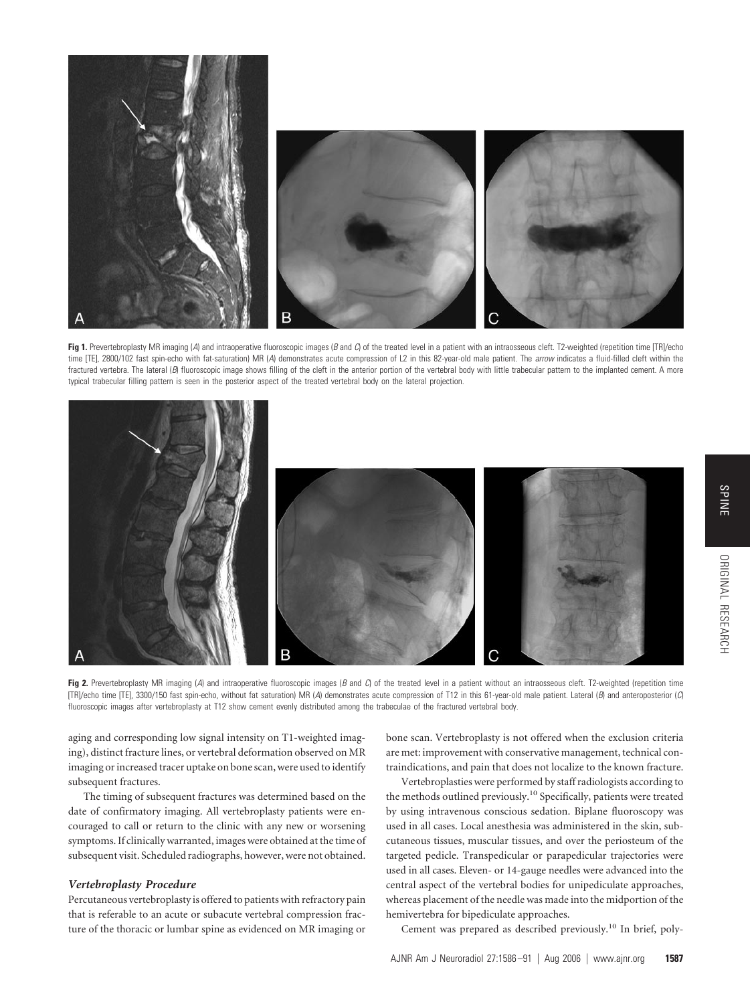

**Fig 1.** Prevertebroplasty MR imaging (*A*) and intraoperative fluoroscopic images (*B* and *C*) of the treated level in a patient with an intraosseous cleft. T2-weighted (repetition time [TR]/echo time [TE], 2800/102 fast spin-echo with fat-saturation) MR (*A*) demonstrates acute compression of L2 in this 82-year-old male patient. The *arrow* indicates a fluid-filled cleft within the fractured vertebra. The lateral (*B*) fluoroscopic image shows filling of the cleft in the anterior portion of the vertebral body with little trabecular pattern to the implanted cement. A more typical trabecular filling pattern is seen in the posterior aspect of the treated vertebral body on the lateral projection.



Fig 2. Prevertebroplasty MR imaging (A) and intraoperative fluoroscopic images (B and C) of the treated level in a patient without an intraosseous cleft. T2-weighted (repetition time [TR]/echo time [TE], 3300/150 fast spin-echo, without fat saturation) MR (*A*) demonstrates acute compression of T12 in this 61-year-old male patient. Lateral (*B*) and anteroposterior (*C*) fluoroscopic images after vertebroplasty at T12 show cement evenly distributed among the trabeculae of the fractured vertebral body.

aging and corresponding low signal intensity on T1-weighted imaging), distinct fracture lines, or vertebral deformation observed on MR imaging or increased tracer uptake on bone scan, were used to identify subsequent fractures.

The timing of subsequent fractures was determined based on the date of confirmatory imaging. All vertebroplasty patients were encouraged to call or return to the clinic with any new or worsening symptoms. If clinically warranted, images were obtained at the time of subsequent visit. Scheduled radiographs, however, were not obtained.

# *Vertebroplasty Procedure*

Percutaneous vertebroplasty is offered to patients with refractory pain that is referable to an acute or subacute vertebral compression fracture of the thoracic or lumbar spine as evidenced on MR imaging or bone scan. Vertebroplasty is not offered when the exclusion criteria are met: improvement with conservative management, technical contraindications, and pain that does not localize to the known fracture.

Vertebroplasties were performed by staff radiologists according to the methods outlined previously.<sup>10</sup> Specifically, patients were treated by using intravenous conscious sedation. Biplane fluoroscopy was used in all cases. Local anesthesia was administered in the skin, subcutaneous tissues, muscular tissues, and over the periosteum of the targeted pedicle. Transpedicular or parapedicular trajectories were used in all cases. Eleven- or 14-gauge needles were advanced into the central aspect of the vertebral bodies for unipediculate approaches, whereas placement of the needle was made into the midportion of the hemivertebra for bipediculate approaches.

Cement was prepared as described previously.10 In brief, poly-

ORIGINAL**ORIGINAL RESEARCH** 

RESEARCH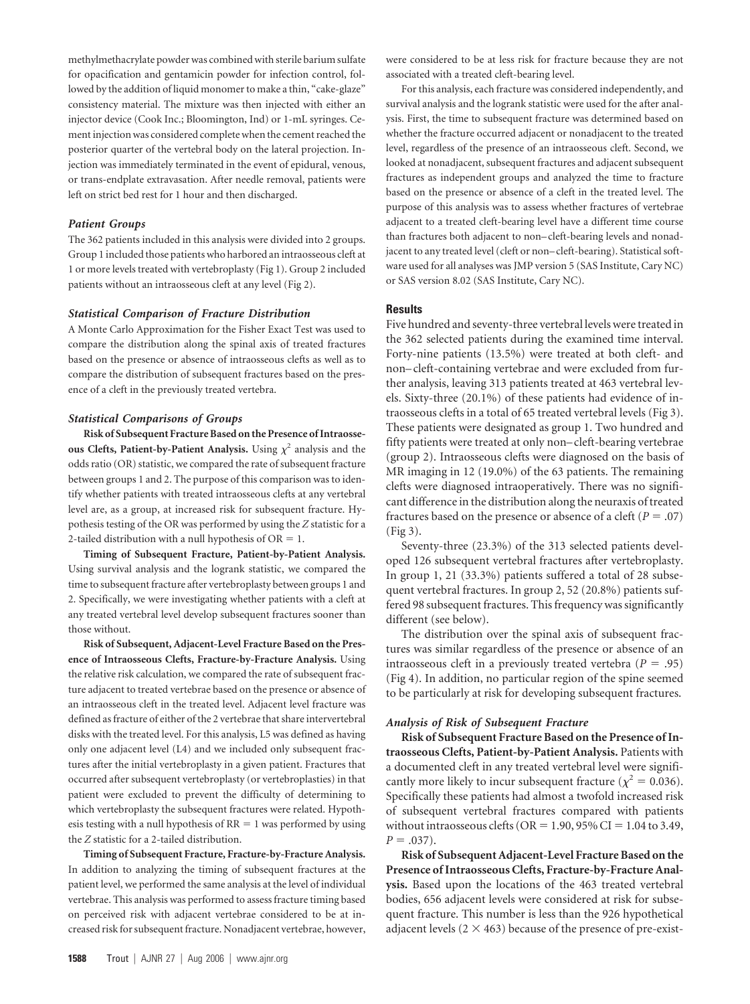methylmethacrylate powder was combined with sterile barium sulfate for opacification and gentamicin powder for infection control, followed by the addition of liquid monomer to make a thin, "cake-glaze" consistency material. The mixture was then injected with either an injector device (Cook Inc.; Bloomington, Ind) or 1-mL syringes. Cement injection was considered complete when the cement reached the posterior quarter of the vertebral body on the lateral projection. Injection was immediately terminated in the event of epidural, venous, or trans-endplate extravasation. After needle removal, patients were left on strict bed rest for 1 hour and then discharged.

## *Patient Groups*

The 362 patients included in this analysis were divided into 2 groups. Group 1 included those patients who harbored an intraosseous cleft at 1 or more levels treated with vertebroplasty (Fig 1). Group 2 included patients without an intraosseous cleft at any level (Fig 2).

#### *Statistical Comparison of Fracture Distribution*

A Monte Carlo Approximation for the Fisher Exact Test was used to compare the distribution along the spinal axis of treated fractures based on the presence or absence of intraosseous clefts as well as to compare the distribution of subsequent fractures based on the presence of a cleft in the previously treated vertebra.

#### *Statistical Comparisons of Groups*

**Risk of Subsequent Fracture Based on the Presence of Intraosseous Clefts, Patient-by-Patient Analysis.** Using  $\chi^2$  analysis and the odds ratio (OR) statistic, we compared the rate of subsequent fracture between groups 1 and 2. The purpose of this comparison was to identify whether patients with treated intraosseous clefts at any vertebral level are, as a group, at increased risk for subsequent fracture. Hypothesis testing of the OR was performed by using the *Z* statistic for a 2-tailed distribution with a null hypothesis of  $OR = 1$ .

**Timing of Subsequent Fracture, Patient-by-Patient Analysis.** Using survival analysis and the logrank statistic, we compared the time to subsequent fracture after vertebroplasty between groups 1 and 2. Specifically, we were investigating whether patients with a cleft at any treated vertebral level develop subsequent fractures sooner than those without.

**Risk of Subsequent, Adjacent-Level Fracture Based on the Presence of Intraosseous Clefts, Fracture-by-Fracture Analysis.** Using the relative risk calculation, we compared the rate of subsequent fracture adjacent to treated vertebrae based on the presence or absence of an intraosseous cleft in the treated level. Adjacent level fracture was defined as fracture of either of the 2 vertebrae that share intervertebral disks with the treated level. For this analysis, L5 was defined as having only one adjacent level (L4) and we included only subsequent fractures after the initial vertebroplasty in a given patient. Fractures that occurred after subsequent vertebroplasty (or vertebroplasties) in that patient were excluded to prevent the difficulty of determining to which vertebroplasty the subsequent fractures were related. Hypothesis testing with a null hypothesis of  $RR = 1$  was performed by using the *Z* statistic for a 2-tailed distribution.

**Timing of Subsequent Fracture, Fracture-by-Fracture Analysis.** In addition to analyzing the timing of subsequent fractures at the patient level, we performed the same analysis at the level of individual vertebrae. This analysis was performed to assess fracture timing based on perceived risk with adjacent vertebrae considered to be at increased risk for subsequent fracture. Nonadjacent vertebrae, however, were considered to be at less risk for fracture because they are not associated with a treated cleft-bearing level.

For this analysis, each fracture was considered independently, and survival analysis and the logrank statistic were used for the after analysis. First, the time to subsequent fracture was determined based on whether the fracture occurred adjacent or nonadjacent to the treated level, regardless of the presence of an intraosseous cleft. Second, we looked at nonadjacent, subsequent fractures and adjacent subsequent fractures as independent groups and analyzed the time to fracture based on the presence or absence of a cleft in the treated level. The purpose of this analysis was to assess whether fractures of vertebrae adjacent to a treated cleft-bearing level have a different time course than fractures both adjacent to non– cleft-bearing levels and nonadjacent to any treated level (cleft or non– cleft-bearing). Statistical software used for all analyses was JMP version 5 (SAS Institute, Cary NC) or SAS version 8.02 (SAS Institute, Cary NC).

#### **Results**

Five hundred and seventy-three vertebral levels were treated in the 362 selected patients during the examined time interval. Forty-nine patients (13.5%) were treated at both cleft- and non– cleft-containing vertebrae and were excluded from further analysis, leaving 313 patients treated at 463 vertebral levels. Sixty-three (20.1%) of these patients had evidence of intraosseous clefts in a total of 65 treated vertebral levels (Fig 3). These patients were designated as group 1. Two hundred and fifty patients were treated at only non– cleft-bearing vertebrae (group 2). Intraosseous clefts were diagnosed on the basis of MR imaging in 12 (19.0%) of the 63 patients. The remaining clefts were diagnosed intraoperatively. There was no significant difference in the distribution along the neuraxis of treated fractures based on the presence or absence of a cleft ( $P = .07$ ) (Fig 3).

Seventy-three (23.3%) of the 313 selected patients developed 126 subsequent vertebral fractures after vertebroplasty. In group 1, 21 (33.3%) patients suffered a total of 28 subsequent vertebral fractures. In group 2, 52 (20.8%) patients suffered 98 subsequent fractures. This frequency was significantly different (see below).

The distribution over the spinal axis of subsequent fractures was similar regardless of the presence or absence of an intraosseous cleft in a previously treated vertebra  $(P = .95)$ (Fig 4). In addition, no particular region of the spine seemed to be particularly at risk for developing subsequent fractures.

#### *Analysis of Risk of Subsequent Fracture*

**Risk of Subsequent Fracture Based on the Presence of Intraosseous Clefts, Patient-by-Patient Analysis.** Patients with a documented cleft in any treated vertebral level were significantly more likely to incur subsequent fracture ( $\chi^2 = 0.036$ ). Specifically these patients had almost a twofold increased risk of subsequent vertebral fractures compared with patients without intraosseous clefts ( $OR = 1.90$ ,  $95\%$   $CI = 1.04$  to 3.49,  $P = .037$ .

**Risk of Subsequent Adjacent-Level Fracture Based on the Presence of Intraosseous Clefts, Fracture-by-Fracture Analysis.** Based upon the locations of the 463 treated vertebral bodies, 656 adjacent levels were considered at risk for subsequent fracture. This number is less than the 926 hypothetical adjacent levels ( $2 \times 463$ ) because of the presence of pre-exist-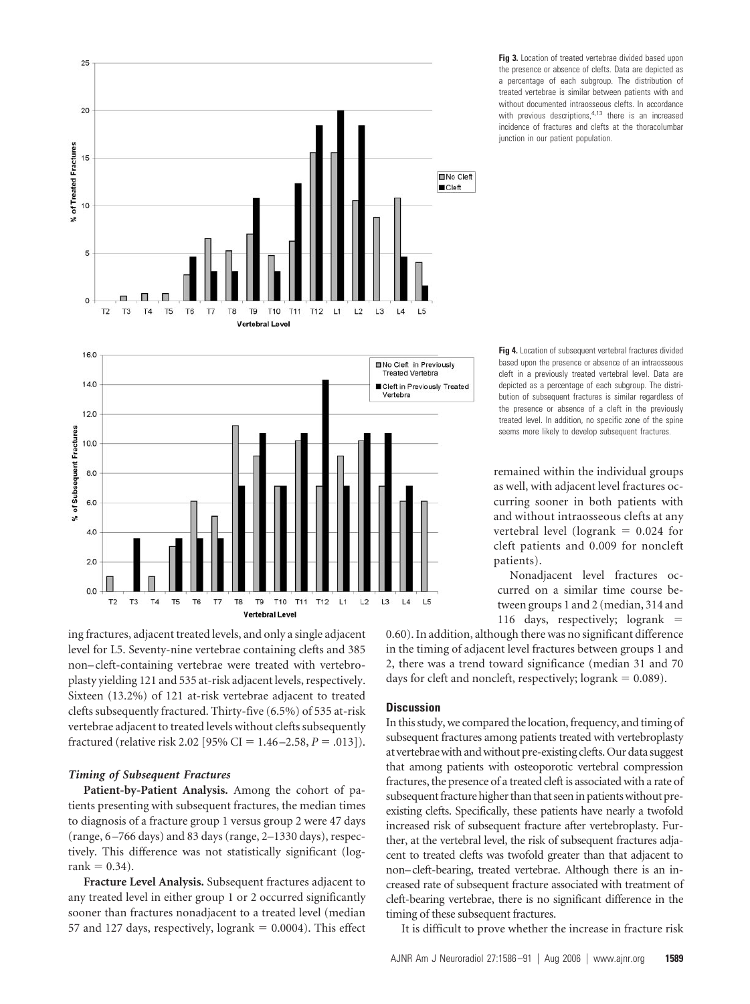

**Fig 3.** Location of treated vertebrae divided based upon the presence or absence of clefts. Data are depicted as a percentage of each subgroup. The distribution of treated vertebrae is similar between patients with and without documented intraosseous clefts. In accordance with previous descriptions. $4.13$  there is an increased incidence of fractures and clefts at the thoracolumbar junction in our patient population.

**Fig 4.** Location of subsequent vertebral fractures divided based upon the presence or absence of an intraosseous cleft in a previously treated vertebral level. Data are depicted as a percentage of each subgroup. The distribution of subsequent fractures is similar regardless of the presence or absence of a cleft in the previously treated level. In addition, no specific zone of the spine seems more likely to develop subsequent fractures.

remained within the individual groups as well, with adjacent level fractures occurring sooner in both patients with and without intraosseous clefts at any vertebral level (logrank  $= 0.024$  for cleft patients and 0.009 for noncleft patients).

Nonadjacent level fractures occurred on a similar time course between groups 1 and 2 (median, 314 and 116 days, respectively; logrank

ing fractures, adjacent treated levels, and only a single adjacent level for L5. Seventy-nine vertebrae containing clefts and 385 non– cleft-containing vertebrae were treated with vertebroplasty yielding 121 and 535 at-risk adjacent levels, respectively. Sixteen (13.2%) of 121 at-risk vertebrae adjacent to treated clefts subsequently fractured. Thirty-five (6.5%) of 535 at-risk vertebrae adjacent to treated levels without clefts subsequently fractured (relative risk 2.02 [95% CI =  $1.46 - 2.58$ ,  $P = .013$ ]).

# *Timing of Subsequent Fractures*

**Patient-by-Patient Analysis.** Among the cohort of patients presenting with subsequent fractures, the median times to diagnosis of a fracture group 1 versus group 2 were 47 days (range, 6 –766 days) and 83 days (range, 2–1330 days), respectively. This difference was not statistically significant (log $rank = 0.34$ .

**Fracture Level Analysis.** Subsequent fractures adjacent to any treated level in either group 1 or 2 occurred significantly sooner than fractures nonadjacent to a treated level (median 57 and 127 days, respectively,  $logrank = 0.0004$ ). This effect 0.60). In addition, although there was no significant difference in the timing of adjacent level fractures between groups 1 and 2, there was a trend toward significance (median 31 and 70 days for cleft and noncleft, respectively;  $logrank = 0.089$ ).

# **Discussion**

In this study, we compared the location, frequency, and timing of subsequent fractures among patients treated with vertebroplasty at vertebraewith andwithout pre-existing clefts. Our data suggest that among patients with osteoporotic vertebral compression fractures, the presence of a treated cleft is associated with a rate of subsequent fracture higher than that seen in patients without preexisting clefts. Specifically, these patients have nearly a twofold increased risk of subsequent fracture after vertebroplasty. Further, at the vertebral level, the risk of subsequent fractures adjacent to treated clefts was twofold greater than that adjacent to non–cleft-bearing, treated vertebrae. Although there is an increased rate of subsequent fracture associated with treatment of cleft-bearing vertebrae, there is no significant difference in the timing of these subsequent fractures.

It is difficult to prove whether the increase in fracture risk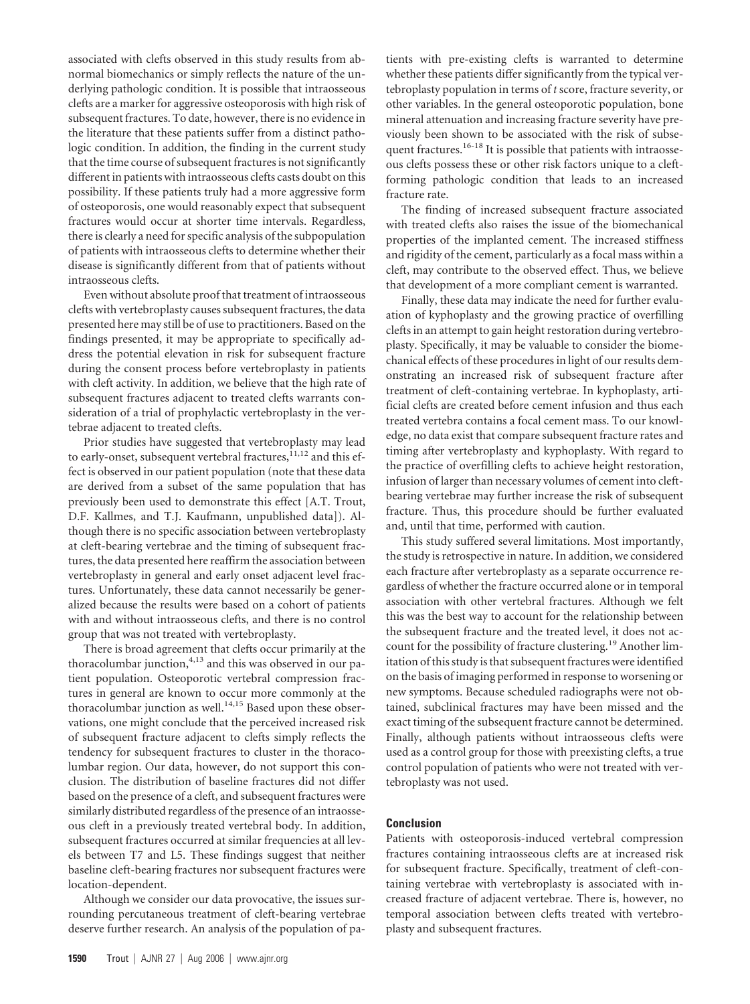associated with clefts observed in this study results from abnormal biomechanics or simply reflects the nature of the underlying pathologic condition. It is possible that intraosseous clefts are a marker for aggressive osteoporosis with high risk of subsequent fractures. To date, however, there is no evidence in the literature that these patients suffer from a distinct pathologic condition. In addition, the finding in the current study that the time course of subsequent fractures is not significantly different in patients with intraosseous clefts casts doubt on this possibility. If these patients truly had a more aggressive form of osteoporosis, one would reasonably expect that subsequent fractures would occur at shorter time intervals. Regardless, there is clearly a need for specific analysis of the subpopulation of patients with intraosseous clefts to determine whether their disease is significantly different from that of patients without intraosseous clefts.

Even without absolute proof that treatment of intraosseous clefts with vertebroplasty causes subsequent fractures, the data presented here may still be of use to practitioners. Based on the findings presented, it may be appropriate to specifically address the potential elevation in risk for subsequent fracture during the consent process before vertebroplasty in patients with cleft activity. In addition, we believe that the high rate of subsequent fractures adjacent to treated clefts warrants consideration of a trial of prophylactic vertebroplasty in the vertebrae adjacent to treated clefts.

Prior studies have suggested that vertebroplasty may lead to early-onset, subsequent vertebral fractures, $1,12$  and this effect is observed in our patient population (note that these data are derived from a subset of the same population that has previously been used to demonstrate this effect [A.T. Trout, D.F. Kallmes, and T.J. Kaufmann, unpublished data]). Although there is no specific association between vertebroplasty at cleft-bearing vertebrae and the timing of subsequent fractures, the data presented here reaffirm the association between vertebroplasty in general and early onset adjacent level fractures. Unfortunately, these data cannot necessarily be generalized because the results were based on a cohort of patients with and without intraosseous clefts, and there is no control group that was not treated with vertebroplasty.

There is broad agreement that clefts occur primarily at the thoracolumbar junction, $4,13$  and this was observed in our patient population. Osteoporotic vertebral compression fractures in general are known to occur more commonly at the thoracolumbar junction as well.<sup>14,15</sup> Based upon these observations, one might conclude that the perceived increased risk of subsequent fracture adjacent to clefts simply reflects the tendency for subsequent fractures to cluster in the thoracolumbar region. Our data, however, do not support this conclusion. The distribution of baseline fractures did not differ based on the presence of a cleft, and subsequent fractures were similarly distributed regardless of the presence of an intraosseous cleft in a previously treated vertebral body. In addition, subsequent fractures occurred at similar frequencies at all levels between T7 and L5. These findings suggest that neither baseline cleft-bearing fractures nor subsequent fractures were location-dependent.

Although we consider our data provocative, the issues surrounding percutaneous treatment of cleft-bearing vertebrae deserve further research. An analysis of the population of patients with pre-existing clefts is warranted to determine whether these patients differ significantly from the typical vertebroplasty population in terms of *t* score, fracture severity, or other variables. In the general osteoporotic population, bone mineral attenuation and increasing fracture severity have previously been shown to be associated with the risk of subsequent fractures.<sup>16-18</sup> It is possible that patients with intraosseous clefts possess these or other risk factors unique to a cleftforming pathologic condition that leads to an increased fracture rate.

The finding of increased subsequent fracture associated with treated clefts also raises the issue of the biomechanical properties of the implanted cement. The increased stiffness and rigidity of the cement, particularly as a focal mass within a cleft, may contribute to the observed effect. Thus, we believe that development of a more compliant cement is warranted.

Finally, these data may indicate the need for further evaluation of kyphoplasty and the growing practice of overfilling clefts in an attempt to gain height restoration during vertebroplasty. Specifically, it may be valuable to consider the biomechanical effects of these procedures in light of our results demonstrating an increased risk of subsequent fracture after treatment of cleft-containing vertebrae. In kyphoplasty, artificial clefts are created before cement infusion and thus each treated vertebra contains a focal cement mass. To our knowledge, no data exist that compare subsequent fracture rates and timing after vertebroplasty and kyphoplasty. With regard to the practice of overfilling clefts to achieve height restoration, infusion of larger than necessary volumes of cement into cleftbearing vertebrae may further increase the risk of subsequent fracture. Thus, this procedure should be further evaluated and, until that time, performed with caution.

This study suffered several limitations. Most importantly, the study is retrospective in nature. In addition, we considered each fracture after vertebroplasty as a separate occurrence regardless of whether the fracture occurred alone or in temporal association with other vertebral fractures. Although we felt this was the best way to account for the relationship between the subsequent fracture and the treated level, it does not account for the possibility of fracture clustering.19 Another limitation of this study is that subsequent fractures were identified on the basis of imaging performed in response to worsening or new symptoms. Because scheduled radiographs were not obtained, subclinical fractures may have been missed and the exact timing of the subsequent fracture cannot be determined. Finally, although patients without intraosseous clefts were used as a control group for those with preexisting clefts, a true control population of patients who were not treated with vertebroplasty was not used.

## **Conclusion**

Patients with osteoporosis-induced vertebral compression fractures containing intraosseous clefts are at increased risk for subsequent fracture. Specifically, treatment of cleft-containing vertebrae with vertebroplasty is associated with increased fracture of adjacent vertebrae. There is, however, no temporal association between clefts treated with vertebroplasty and subsequent fractures.